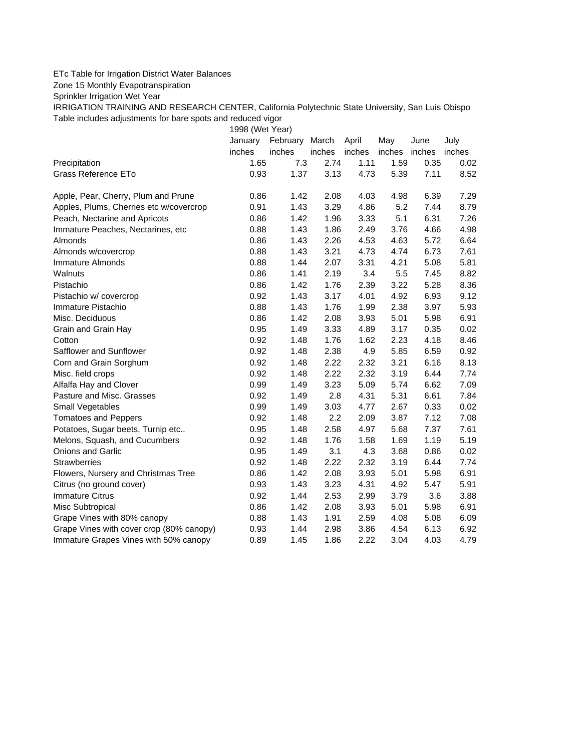## ETc Table for Irrigation District Water Balances

Zone 15 Monthly Evapotranspiration

Sprinkler Irrigation Wet Year

IRRIGATION TRAINING AND RESEARCH CENTER, California Polytechnic State University, San Luis Obispo Table includes adjustments for bare spots and reduced vigor

1998 (Wet Year)

|                                          | January | February March |        | April  | May    | June   | July   |
|------------------------------------------|---------|----------------|--------|--------|--------|--------|--------|
|                                          | inches  | inches         | inches | inches | inches | inches | inches |
| Precipitation                            | 1.65    | 7.3            | 2.74   | 1.11   | 1.59   | 0.35   | 0.02   |
| Grass Reference ETo                      | 0.93    | 1.37           | 3.13   | 4.73   | 5.39   | 7.11   | 8.52   |
| Apple, Pear, Cherry, Plum and Prune      | 0.86    | 1.42           | 2.08   | 4.03   | 4.98   | 6.39   | 7.29   |
| Apples, Plums, Cherries etc w/covercrop  | 0.91    | 1.43           | 3.29   | 4.86   | 5.2    | 7.44   | 8.79   |
| Peach, Nectarine and Apricots            | 0.86    | 1.42           | 1.96   | 3.33   | 5.1    | 6.31   | 7.26   |
| Immature Peaches, Nectarines, etc        | 0.88    | 1.43           | 1.86   | 2.49   | 3.76   | 4.66   | 4.98   |
| Almonds                                  | 0.86    | 1.43           | 2.26   | 4.53   | 4.63   | 5.72   | 6.64   |
| Almonds w/covercrop                      | 0.88    | 1.43           | 3.21   | 4.73   | 4.74   | 6.73   | 7.61   |
| <b>Immature Almonds</b>                  | 0.88    | 1.44           | 2.07   | 3.31   | 4.21   | 5.08   | 5.81   |
| Walnuts                                  | 0.86    | 1.41           | 2.19   | 3.4    | 5.5    | 7.45   | 8.82   |
| Pistachio                                | 0.86    | 1.42           | 1.76   | 2.39   | 3.22   | 5.28   | 8.36   |
| Pistachio w/ covercrop                   | 0.92    | 1.43           | 3.17   | 4.01   | 4.92   | 6.93   | 9.12   |
| Immature Pistachio                       | 0.88    | 1.43           | 1.76   | 1.99   | 2.38   | 3.97   | 5.93   |
| Misc. Deciduous                          | 0.86    | 1.42           | 2.08   | 3.93   | 5.01   | 5.98   | 6.91   |
| Grain and Grain Hay                      | 0.95    | 1.49           | 3.33   | 4.89   | 3.17   | 0.35   | 0.02   |
| Cotton                                   | 0.92    | 1.48           | 1.76   | 1.62   | 2.23   | 4.18   | 8.46   |
| Safflower and Sunflower                  | 0.92    | 1.48           | 2.38   | 4.9    | 5.85   | 6.59   | 0.92   |
| Corn and Grain Sorghum                   | 0.92    | 1.48           | 2.22   | 2.32   | 3.21   | 6.16   | 8.13   |
| Misc. field crops                        | 0.92    | 1.48           | 2.22   | 2.32   | 3.19   | 6.44   | 7.74   |
| Alfalfa Hay and Clover                   | 0.99    | 1.49           | 3.23   | 5.09   | 5.74   | 6.62   | 7.09   |
| Pasture and Misc. Grasses                | 0.92    | 1.49           | 2.8    | 4.31   | 5.31   | 6.61   | 7.84   |
| Small Vegetables                         | 0.99    | 1.49           | 3.03   | 4.77   | 2.67   | 0.33   | 0.02   |
| <b>Tomatoes and Peppers</b>              | 0.92    | 1.48           | 2.2    | 2.09   | 3.87   | 7.12   | 7.08   |
| Potatoes, Sugar beets, Turnip etc        | 0.95    | 1.48           | 2.58   | 4.97   | 5.68   | 7.37   | 7.61   |
| Melons, Squash, and Cucumbers            | 0.92    | 1.48           | 1.76   | 1.58   | 1.69   | 1.19   | 5.19   |
| Onions and Garlic                        | 0.95    | 1.49           | 3.1    | 4.3    | 3.68   | 0.86   | 0.02   |
| <b>Strawberries</b>                      | 0.92    | 1.48           | 2.22   | 2.32   | 3.19   | 6.44   | 7.74   |
| Flowers, Nursery and Christmas Tree      | 0.86    | 1.42           | 2.08   | 3.93   | 5.01   | 5.98   | 6.91   |
| Citrus (no ground cover)                 | 0.93    | 1.43           | 3.23   | 4.31   | 4.92   | 5.47   | 5.91   |
| <b>Immature Citrus</b>                   | 0.92    | 1.44           | 2.53   | 2.99   | 3.79   | 3.6    | 3.88   |
| Misc Subtropical                         | 0.86    | 1.42           | 2.08   | 3.93   | 5.01   | 5.98   | 6.91   |
| Grape Vines with 80% canopy              | 0.88    | 1.43           | 1.91   | 2.59   | 4.08   | 5.08   | 6.09   |
| Grape Vines with cover crop (80% canopy) | 0.93    | 1.44           | 2.98   | 3.86   | 4.54   | 6.13   | 6.92   |
| Immature Grapes Vines with 50% canopy    | 0.89    | 1.45           | 1.86   | 2.22   | 3.04   | 4.03   | 4.79   |